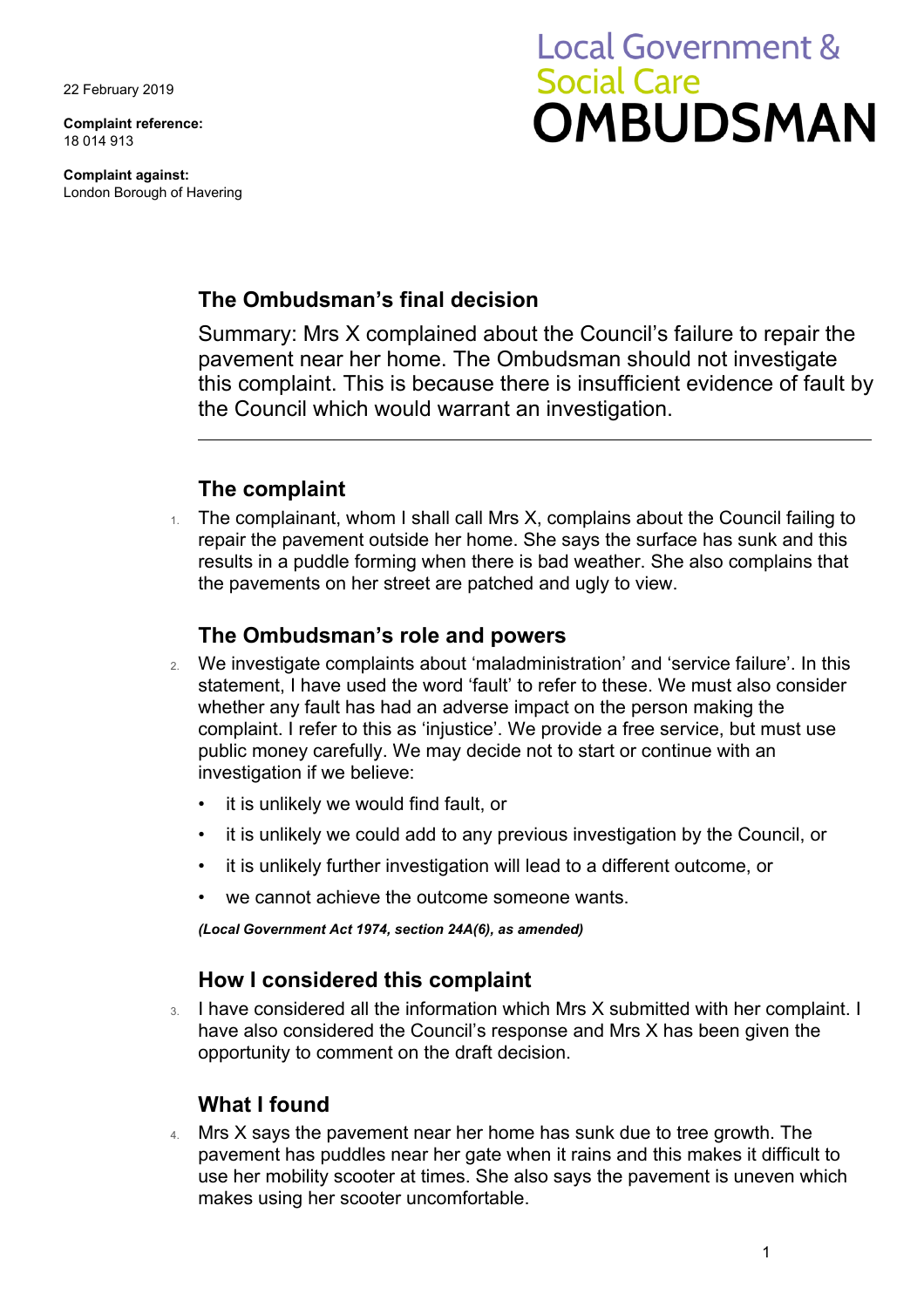22 February 2019

**Complaint reference:**  18 014 913

**Complaint against:**  London Borough of Havering

# **Local Government & Social Care OMBUDSMAN**

## **The Ombudsman's final decision**

Summary: Mrs X complained about the Council's failure to repair the pavement near her home. The Ombudsman should not investigate this complaint. This is because there is insufficient evidence of fault by the Council which would warrant an investigation.

## **The complaint**

 results in a puddle forming when there is bad weather. She also complains that The complainant, whom I shall call Mrs X, complains about the Council failing to repair the pavement outside her home. She says the surface has sunk and this the pavements on her street are patched and ugly to view.

#### **The Ombudsman's role and powers**

- 2. We investigate complaints about 'maladministration' and 'service failure'. In this statement, I have used the word 'fault' to refer to these. We must also consider whether any fault has had an adverse impact on the person making the complaint. I refer to this as 'injustice'. We provide a free service, but must use public money carefully. We may decide not to start or continue with an investigation if we believe:
	- it is unlikely we would find fault, or
	- it is unlikely we could add to any previous investigation by the Council, or
	- it is unlikely further investigation will lead to a different outcome, or
	- we cannot achieve the outcome someone wants.

*(Local Government Act 1974, section 24A(6), as amended)* 

## **How I considered this complaint**

3. I have considered all the information which Mrs X submitted with her complaint. I have also considered the Council's response and Mrs X has been given the opportunity to comment on the draft decision.

#### **What I found**

4. Mrs X says the pavement near her home has sunk due to tree growth. The pavement has puddles near her gate when it rains and this makes it difficult to use her mobility scooter at times. She also says the pavement is uneven which makes using her scooter uncomfortable.